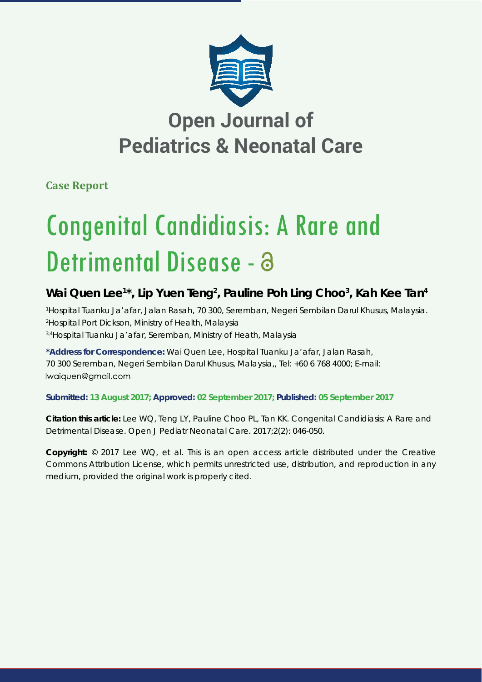

## **Open Journal of Pediatrics & Neonatal Care**

**Case Report**

# Congenital Candidiasis: A Rare and Detrimental Disease - 8

### Wai Quen Lee<sup>1\*</sup>, Lip Yuen Teng<sup>2</sup>, Pauline Poh Ling Choo<sup>3</sup>, Kah Kee Tan<sup>4</sup>

*1 Hospital Tuanku Ja'afar, Jalan Rasah, 70 300, Seremban, Negeri Sembilan Darul Khusus, Malaysia. 2 Hospital Port Dickson, Ministry of Health, Malaysia 3,4Hospital Tuanku Ja'afar, Seremban, Ministry of Heath, Malaysia*

**\*Address for Correspondence:** Wai Quen Lee, Hospital Tuanku Ja'afar, Jalan Rasah, 70 300 Seremban, Negeri Sembilan Darul Khusus, Malaysia,, Tel: +60 6 768 4000; E-mail: Iwaiquen@gmail.com

**Submitted: 13 August 2017; Approved: 02 September 2017; Published: 05 September 2017**

**Citation this article:** Lee WQ, Teng LY, Pauline Choo PL, Tan KK. Congenital Candidiasis: A Rare and Detrimental Disease. Open J Pediatr Neonatal Care. 2017;2(2): 046-050.

**Copyright:** © 2017 Lee WQ, et al. This is an open access article distributed under the Creative Commons Attribution License, which permits unrestricted use, distribution, and reproduction in any medium, provided the original work is properly cited.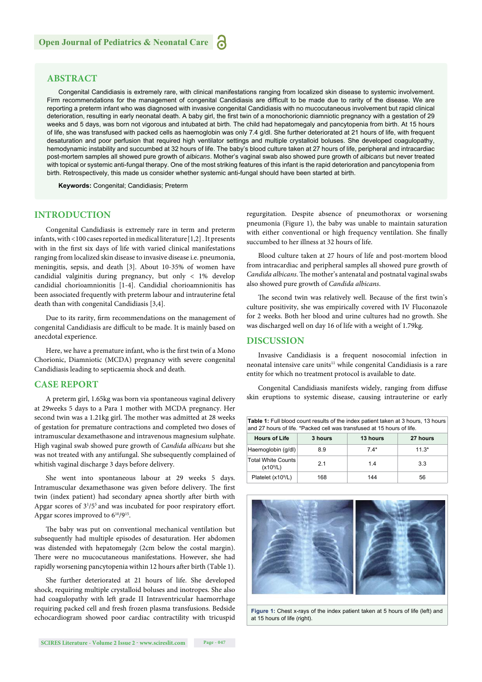#### **ABSTRACT**

Congenital Candidiasis is extremely rare, with clinical manifestations ranging from localized skin disease to systemic involvement. Firm recommendations for the management of congenital Candidiasis are difficult to be made due to rarity of the disease. We are reporting a preterm infant who was diagnosed with invasive congenital Candidiasis with no mucocutaneous involvement but rapid clinical deterioration, resulting in early neonatal death. A baby girl, the first twin of a monochorionic diamniotic pregnancy with a gestation of 29 weeks and 5 days, was born not vigorous and intubated at birth. The child had hepatomegaly and pancytopenia from birth. At 15 hours of life, she was transfused with packed cells as haemoglobin was only 7.4 g/dl. She further deteriorated at 21 hours of life, with frequent desaturation and poor perfusion that required high ventilator settings and multiple crystalloid boluses. She developed coagulopathy, hemodynamic instability and succumbed at 32 hours of life. The baby's blood culture taken at 27 hours of life, peripheral and intracardiac post-mortem samples all showed pure growth of *albicans*. Mother's vaginal swab also showed pure growth of *albicans* but never treated with topical or systemic anti-fungal therapy. One of the most striking features of this infant is the rapid deterioration and pancytopenia from birth. Retrospectively, this made us consider whether systemic anti-fungal should have been started at birth.

**Keywords:** Congenital; Candidiasis; Preterm

#### **INTRODUCTION**

Congenital Candidiasis is extremely rare in term and preterm infants, with <100 cases reported in medical literature[1,2] . It presents with in the first six days of life with varied clinical manifestations ranging from localized skin disease to invasive disease i.e. pneumonia, meningitis, sepsis, and death [3]. About 10-35% of women have candidial valginitis during pregnancy, but only < 1% develop candidial chorioamnionitis [1-4]. Candidial chorioamnionitis has been associated frequently with preterm labour and intrauterine fetal death than with congenital Candidiasis [3,4].

Due to its rarity, firm recommendations on the management of congenital Candidiasis are difficult to be made. It is mainly based on anecdotal experience.

Here, we have a premature infant, who is the first twin of a Mono Chorionic, Diamniotic (MCDA) pregnancy with severe congenital Candidiasis leading to septicaemia shock and death.

#### **CASE REPORT**

A preterm girl, 1.65kg was born via spontaneous vaginal delivery at 29weeks 5 days to a Para 1 mother with MCDA pregnancy. Her second twin was a 1.21kg girl. The mother was admitted at 28 weeks of gestation for premature contractions and completed two doses of intramuscular dexamethasone and intravenous magnesium sulphate. High vaginal swab showed pure growth of *Candida albicans* but she was not treated with any antifungal. She subsequently complained of whitish vaginal discharge 3 days before delivery.

She went into spontaneous labour at 29 weeks 5 days. Intramuscular dexamethasone was given before delivery. The first twin (index patient) had secondary apnea shortly after birth with Apgar scores of  $3^{1}/5^{5}$  and was incubated for poor respiratory effort. Apgar scores improved to  $6^{10}/9^{15}$ .

The baby was put on conventional mechanical ventilation but subsequently had multiple episodes of desaturation. Her abdomen was distended with hepatomegaly (2cm below the costal margin). There were no mucocutaneous manifestations. However, she had rapidly worsening pancytopenia within 12 hours after birth (Table 1).

She further deteriorated at 21 hours of life. She developed shock, requiring multiple crystalloid boluses and inotropes. She also had coagulopathy with left grade II Intraventricular haemorrhage requiring packed cell and fresh frozen plasma transfusions. Bedside echocardiogram showed poor cardiac contractility with tricuspid regurgitation. Despite absence of pneumothorax or worsening pneumonia (Figure 1), the baby was unable to maintain saturation with either conventional or high frequency ventilation. She finally succumbed to her illness at 32 hours of life.

Blood culture taken at 27 hours of life and post-mortem blood from intracardiac and peripheral samples all showed pure growth of *Candida albicans*. The mother's antenatal and postnatal vaginal swabs also showed pure growth of *Candida albicans*.

The second twin was relatively well. Because of the first twin's culture positivity, she was empirically covered with IV Fluconazole for 2 weeks. Both her blood and urine cultures had no growth. She was discharged well on day 16 of life with a weight of 1.79kg.

#### **DISCUSSION**

Invasive Candidiasis is a frequent nosocomial infection in neonatal intensive care units<sup>11</sup> while congenital Candidiasis is a rare entity for which no treatment protocol is available to date.

Congenital Candidiasis manifests widely, ranging from diffuse skin eruptions to systemic disease, causing intrauterine or early

| <b>Table 1:</b> Full blood count results of the index patient taken at 3 hours, 13 hours<br>and 27 hours of life. *Packed cell was transfused at 15 hours of life. |         |          |          |  |  |  |
|--------------------------------------------------------------------------------------------------------------------------------------------------------------------|---------|----------|----------|--|--|--|
| <b>Hours of Life</b>                                                                                                                                               | 3 hours | 13 hours | 27 hours |  |  |  |
| Haemoglobin (g/dl)                                                                                                                                                 | 8.9     | $7.4*$   | $11.3*$  |  |  |  |
| <b>Total White Counts</b><br>(x10 <sup>9</sup> /L)                                                                                                                 | 2.1     | 14       | 3.3      |  |  |  |
| Platelet (x10 <sup>9</sup> /L)                                                                                                                                     | 168     | 144      | 56       |  |  |  |



**Figure 1:** Chest x-rays of the index patient taken at 5 hours of life (left) and at 15 hours of life (right).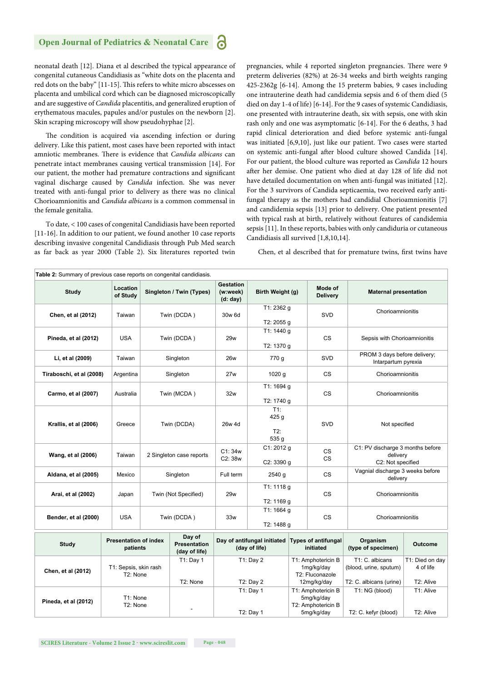#### **Open Journal of Pediatrics & Neonatal Care**

neonatal death [12]. Diana et al described the typical appearance of congenital cutaneous Candidiasis as "white dots on the placenta and red dots on the baby" [11-15]. This refers to white micro abscesses on placenta and umbilical cord which can be diagnosed microscopically and are suggestive of *Candida* placentitis, and generalized eruption of erythematous macules, papules and/or pustules on the newborn [2]. Skin scraping microscopy will show pseudohyphae [2].

The condition is acquired via ascending infection or during delivery. Like this patient, most cases have been reported with intact amniotic membranes. There is evidence that *Candida albicans* can penetrate intact membranes causing vertical transmission [14]. For our patient, the mother had premature contractions and significant vaginal discharge caused by *Candida* infection. She was never treated with anti-fungal prior to delivery as there was no clinical Chorioamnionitis and *Candida albicans* is a common commensal in the female genitalia.

To date, < 100 cases of congenital Candidiasis have been reported [11-16]. In addition to our patient, we found another 10 case reports describing invasive congenital Candidiasis through Pub Med search as far back as year 2000 (Table 2). Six literatures reported twin

pregnancies, while 4 reported singleton pregnancies. There were 9 preterm deliveries (82%) at 26-34 weeks and birth weights ranging 425-2362g [6-14]. Among the 15 preterm babies, 9 cases including one intrauterine death had candidemia sepsis and 6 of them died (5 died on day 1-4 of life) [6-14]. For the 9 cases of systemic Candidiasis, one presented with intrauterine death, six with sepsis, one with skin rash only and one was asymptomatic [6-14]. For the 6 deaths, 3 had rapid clinical deterioration and died before systemic anti-fungal was initiated [6,9,10], just like our patient. Two cases were started on systemic anti-fungal after blood culture showed Candida [14]. For our patient, the blood culture was reported as *Candida* 12 hours after her demise. One patient who died at day 128 of life did not have detailed documentation on when anti-fungal was initiated [12]. For the 3 survivors of Candida septicaemia, two received early antifungal therapy as the mothers had candidial Chorioamnionitis [7] and candidemia sepsis [13] prior to delivery. One patient presented with typical rash at birth, relatively without features of candidemia sepsis [11]. In these reports, babies with only candiduria or cutaneous Candidiasis all survived [1,8,10,14].

Chen, et al described that for premature twins, first twins have

| Table 2: Summary of previous case reports on congenital candidiasis. |                                                               |                          |                                                |                                              |                                                     |                                                                                     |                                           |                                                                   |                        |
|----------------------------------------------------------------------|---------------------------------------------------------------|--------------------------|------------------------------------------------|----------------------------------------------|-----------------------------------------------------|-------------------------------------------------------------------------------------|-------------------------------------------|-------------------------------------------------------------------|------------------------|
| <b>Study</b>                                                         | Location<br>of Study                                          |                          | Singleton / Twin (Types)                       | <b>Gestation</b><br>(w:week)<br>(d: day)     | Birth Weight (g)                                    |                                                                                     | Mode of<br><b>Delivery</b>                | <b>Maternal presentation</b>                                      |                        |
| Chen, et al (2012)                                                   | Taiwan                                                        |                          | Twin (DCDA)                                    | 30w 6d                                       | T1: 2362 g<br>T2: 2055 g                            |                                                                                     | SVD                                       | Chorioamnionitis                                                  |                        |
| Pineda, et al (2012)                                                 | <b>USA</b>                                                    |                          | Twin (DCDA)                                    | 29w                                          | T1: 1440 g<br>T2: 1370 g                            |                                                                                     | <b>CS</b>                                 | Sepsis with Chorioamnionitis                                      |                        |
| Li, et al (2009)                                                     | Taiwan                                                        |                          | Singleton                                      | <b>26w</b>                                   | 770 g                                               |                                                                                     | SVD                                       | PROM 3 days before delivery;<br>Intarpartum pyrexia               |                        |
| Tiraboschi, et al (2008)                                             | Argentina                                                     |                          | Singleton                                      | 27w                                          | 1020 g                                              |                                                                                     | <b>CS</b>                                 | Chorioamnionitis                                                  |                        |
| Carmo, et al (2007)                                                  | Australia                                                     |                          | Twin (MCDA)                                    | 32w                                          | T1: 1694 g<br>T2: 1740 g                            |                                                                                     | CS                                        | Chorioamnionitis                                                  |                        |
| Krallis, et al (2006)                                                | Greece                                                        |                          | Twin (DCDA)                                    | 26w 4d                                       | T1:<br>425 g<br>T2:<br>535 g                        |                                                                                     | <b>SVD</b>                                | Not specified                                                     |                        |
| Wang, et al (2006)                                                   | Taiwan                                                        | 2 Singleton case reports |                                                | C1:34w<br>C2: 38w                            | C1: 2012 g<br>C2: 3390 g                            | <b>CS</b><br><b>CS</b>                                                              |                                           | C1: PV discharge 3 months before<br>delivery<br>C2: Not specified |                        |
| Aldana, et al (2005)                                                 | Mexico                                                        |                          | Singleton                                      | Full term                                    | 2540 g                                              |                                                                                     | <b>CS</b>                                 | Vagnial discharge 3 weeks before<br>delivery                      |                        |
| Arai, et al (2002)                                                   | Japan                                                         |                          | Twin (Not Specified)                           | 29w                                          | T1: 1118 g<br>T2: 1169 g                            |                                                                                     | <b>CS</b>                                 | Chorioamnionitis                                                  |                        |
| Bender, et al (2000)                                                 | <b>USA</b>                                                    |                          | Twin (DCDA)                                    | 33w                                          | T1: 1664 g<br>T2: 1488 g                            |                                                                                     | <b>CS</b>                                 | Chorioamnionitis                                                  |                        |
| <b>Study</b>                                                         | <b>Presentation of index</b><br>patients                      |                          | Day of<br><b>Presentation</b><br>(day of life) | Day of antifungal initiated<br>(day of life) |                                                     |                                                                                     | <b>Types of antifungal</b><br>initiated   | Organism<br>(type of specimen)                                    | <b>Outcome</b>         |
| Chen, et al (2012)                                                   | $T1:$ Day 1<br>T1: Sepsis, skin rash<br>T <sub>2</sub> : None |                          | $T1:$ Day 2<br>$T2:$ Day 2                     |                                              | T1: Amphotericin B<br>1mg/kg/day<br>T2: Fluconazole |                                                                                     | T1: C. albicans<br>(blood, urine, sputum) | T1: Died on day<br>4 of life<br>T2: Alive                         |                        |
| Pineda, et al (2012)                                                 | T1: None<br>T2: None                                          |                          | T2: None                                       |                                              | T1: Day 1<br>$T2:$ Day 1                            | 12mg/kg/day<br>T1: Amphotericin B<br>5mg/kg/day<br>T2: Amphotericin B<br>5mg/kg/day |                                           | T2: C. albicans (urine)<br>T1: NG (blood)<br>T2: C. kefyr (blood) | T1: Alive<br>T2: Alive |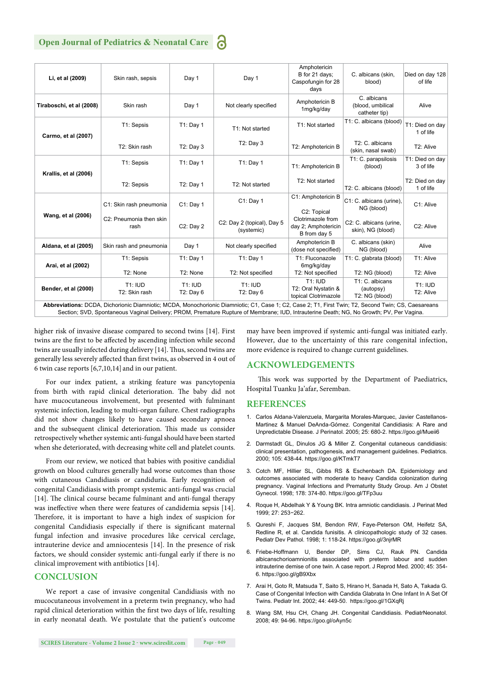#### **Open Journal of Pediatrics & Neonatal Care**

| Li, et al (2009)                                                                                                                                                                                                                                                                                 | Skin rash, sepsis               | Day 1                         | Day 1                                    | Amphotericin<br>B for 21 days:<br>Caspofungin for 28<br>days  | C. albicans (skin,<br>blood)                       | Died on day 128<br>of life   |
|--------------------------------------------------------------------------------------------------------------------------------------------------------------------------------------------------------------------------------------------------------------------------------------------------|---------------------------------|-------------------------------|------------------------------------------|---------------------------------------------------------------|----------------------------------------------------|------------------------------|
| Tiraboschi, et al (2008)                                                                                                                                                                                                                                                                         | Skin rash                       | Day 1                         | Not clearly specified                    | Amphotericin B<br>1mg/kg/day                                  | C. albicans<br>(blood, umbilical<br>catheter tip)  | Alive                        |
| Carmo, et al (2007)                                                                                                                                                                                                                                                                              | T1: Sepsis                      | T1: Day 1                     | T1: Not started                          | T1: Not started                                               | T1: C. albicans (blood)                            | T1: Died on day<br>1 of life |
|                                                                                                                                                                                                                                                                                                  | T2: Skin rash                   | $T2:$ Day $3$                 | $T2:$ Day 3                              | T2: Amphotericin B                                            | T <sub>2</sub> : C. albicans<br>(skin, nasal swab) | T2: Alive                    |
| Krallis, et al (2006)                                                                                                                                                                                                                                                                            | T1: Sepsis                      | $T1:$ Day 1                   | T1: Day 1                                | T1: Amphotericin B                                            | T1: C. parapsilosis<br>(blood)                     | T1: Died on day<br>3 of life |
|                                                                                                                                                                                                                                                                                                  | T2: Sepsis                      | T2: Day 1                     | T2: Not started                          | T2: Not started                                               | T2: C. albicans (blood)                            | T2: Died on day<br>1 of life |
| Wang, et al (2006)                                                                                                                                                                                                                                                                               | C1: Skin rash pneumonia         | C1: Day 1                     | $C1:$ Day 1                              | C1: Amphotericin B<br>C2: Topical                             | C1: C. albicans (urine).<br>NG (blood)             | C1: Alive                    |
|                                                                                                                                                                                                                                                                                                  | C2: Pneumonia then skin<br>rash | C2: Day 2                     | C2: Day 2 (topical), Day 5<br>(systemic) | Clotrimazole from<br>day 2; Amphotericin<br>B from day 5      | C2: C. albicans (urine,<br>skin), NG (blood)       | C2: Alive                    |
| Aldana, et al (2005)                                                                                                                                                                                                                                                                             | Skin rash and pneumonia         | Day 1                         | Not clearly specified                    | Amphotericin B<br>(dose not specified)                        | C. albicans (skin)<br>NG (blood)                   | Alive                        |
| Arai, et al (2002)                                                                                                                                                                                                                                                                               | T1: Sepsis                      | $T1:$ Day 1                   | $T1:$ Day 1                              | T1: Fluconazole<br>6mg/kg/day                                 | T1: C. glabrata (blood)                            | T1: Alive                    |
|                                                                                                                                                                                                                                                                                                  | T2: None                        | T2: None                      | T2: Not specified                        | T2: Not specified                                             | T2: NG (blood)                                     | T2: Alive                    |
| Bender, et al (2000)                                                                                                                                                                                                                                                                             | <b>T1: IUD</b><br>T2: Skin rash | <b>T1: IUD</b><br>$T2:$ Day 6 | <b>T1: IUD</b><br>$T2:$ Day 6            | <b>T1: IUD</b><br>T2: Oral Nystatin &<br>topical Clotrimazole | T1: C. albicans<br>(autopsy)<br>T2: NG (blood)     | <b>T1: IUD</b><br>T2: Alive  |
| Abbreviations: DCDA, Dichorionic Diamniotic; MCDA, Monochorionic Diamniotic; C1, Case 1; C2, Case 2; T1, First Twin; T2, Second Twin; CS, Caesareans<br>Section; SVD, Spontaneous Vaginal Delivery; PROM, Premature Rupture of Membrane; IUD, Intrauterine Death; NG, No Growth; PV, Per Vagina. |                                 |                               |                                          |                                                               |                                                    |                              |

higher risk of invasive disease compared to second twins [14]. First twins are the first to be affected by ascending infection while second twins are usually infected during delivery [14]. Thus, second twins are generally less severely affected than first twins, as observed in 4 out of 6 twin case reports [6,7,10,14] and in our patient.

For our index patient, a striking feature was pancytopenia from birth with rapid clinical deterioration. The baby did not have mucocutaneous involvement, but presented with fulminant systemic infection, leading to multi-organ failure. Chest radiographs did not show changes likely to have caused secondary apnoea and the subsequent clinical deterioration. This made us consider retrospectively whether systemic anti-fungal should have been started when she deteriorated, with decreasing white cell and platelet counts.

From our review, we noticed that babies with positive candidial growth on blood cultures generally had worse outcomes than those with cutaneous Candidiasis or candiduria. Early recognition of congenital Candidiasis with prompt systemic anti-fungal was crucial [14]. The clinical course became fulminant and anti-fungal therapy was ineffective when there were features of candidemia sepsis [14]. Therefore, it is important to have a high index of suspicion for congenital Candidiasis especially if there is significant maternal fungal infection and invasive procedures like cervical cerclage, intrauterine device and amniocentesis [14]. In the presence of risk factors, we should consider systemic anti-fungal early if there is no clinical improvement with antibiotics [14].

#### **CONCLUSION**

We report a case of invasive congenital Candidiasis with no mucocutaneous involvement in a preterm twin pregnancy, who had rapid clinical deterioration within the first two days of life, resulting in early neonatal death. We postulate that the patient's outcome

may have been improved if systemic anti-fungal was initiated early. However, due to the uncertainty of this rare congenital infection, more evidence is required to change current guidelines.

#### **ACKNOWLEDGEMENTS**

This work was supported by the Department of Paediatrics, Hospital Tuanku Ja'afar, Seremban.

#### **REFERENCES**

- 1. Carlos Aldana-Valenzuela, Margarita Morales-Marquec, Javier Castellanos-Martinez & Manuel DeAnda-Gómez. Congenital Candidiasis: A Rare and Unpredictable Disease. J Perinatol. 2005; 25: 680-2. https://goo.gl/Mueii6
- 2. Darmstadt GL, Dinulos JG & Miller Z. Congenital cutaneous candidiasis: clinical presentation, pathogenesis, and management guidelines. Pediatrics. 2000; 105: 438-44. https://goo.gl/KTmkT7
- 3. Cotch MF, Hillier SL, Gibbs RS & Eschenbach DA. Epidemiology and outcomes associated with moderate to heavy Candida colonization during pregnancy. Vaginal Infections and Prematurity Study Group. Am J Obstet Gynecol. 1998; 178: 374-80. https://goo.gl/TFp3uu
- 4. Roque H, Abdelhak Y & Young BK. Intra amniotic candidiasis. J Perinat Med 1999; 27: 253−262.
- 5. Qureshi F, Jacques SM, Bendon RW, Faye-Peterson OM, Heifetz SA, Redline R, et al. Candida funisitis. A clinicopathologic study of 32 cases. Pediatr Dev Pathol. 1998; 1: 118-24. https://goo.gl/3njrMR
- 6. Friebe-Hoffmann U, Bender DP, Sims CJ, Rauk PN. Candida albicanschorioamnionitis associated with preterm labour and sudden intrauterine demise of one twin. A case report. J Reprod Med. 2000; 45: 354- 6. https://goo.gl/gB9Xbx
- 7. Arai H, Goto R, Matsuda T, Saito S, Hirano H, Sanada H, Sato A, Takada G. Case of Congenital Infection with Candida Glabrata In One Infant In A Set Of Twins. Pediatr Int. 2002; 44: 449-50. https://goo.gl/1GXqRj
- 8. Wang SM, Hsu CH, Chang JH. Congenital Candidiasis. PediatrNeonatol. 2008; 49: 94-96. https://goo.gl/oAyn5c